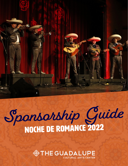

# Sponsorship Guide

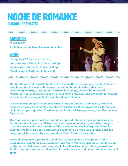### Noche De Romance Guadalupe Theater

#### ADMISSION:

**\$25/\$30/\$35 Table Sponsors & Advertisement Available**

#### WHEN:

**Friday, April 22 (Seniors Concert) Saturday, April 23 (Public Concert) at 8pm Sunday, April 24 (Public Concert) at 5pm Monday, April 25 (Students Concert)**



**The Guadalupe Cultural Arts Center's 6th Annual Noche de Romance is San Antonio's premier mariachi event with the award-winning Mariachi Azteca de America performing an array of traditional Mexican love songs, boleros, baladas and rancheras. Audiences return year after year for the romance and grandeur of the night in the intimate seating of the historic Guadalupe Theater.** 

**Led by the Guadalupe's Traditional Music Program Director, Gino Rivera, Mariachi Azteca de America's versatile ensemble of musicians delivers dynamic performances of classic songs by giants of Mexican music like Jose Alfredo Jimenez, Juan Gabriel and Agustin Lara.** 

**This year, concert goers will be treated to a special tribute to the legendary Vicente Fernandez, also known as "El Rey," along with special featured guest Arturo Vargas, a world-class vocalist and member of the renowned Mariachi Vargas de Tecalitlán. Local talents Rhonda Garcia and Mateo Lopez will also make appearances and the program will be opened by the Guadalupe Youth Mariachi Ensemble.** 

**Noche de Romance supports the continued expansion and development of the Guadalupe's Traditional Music Academy and Youth Mariachi Ensemble. Funds raised by the concert help to ensure the mariachi tradition lives on for future generations. Funds raised also support students' public performances and annual summer mariachi camp.**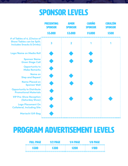## SPONSOR LEVELS



## PROGRAM ADVERTISEMENT LEVELS